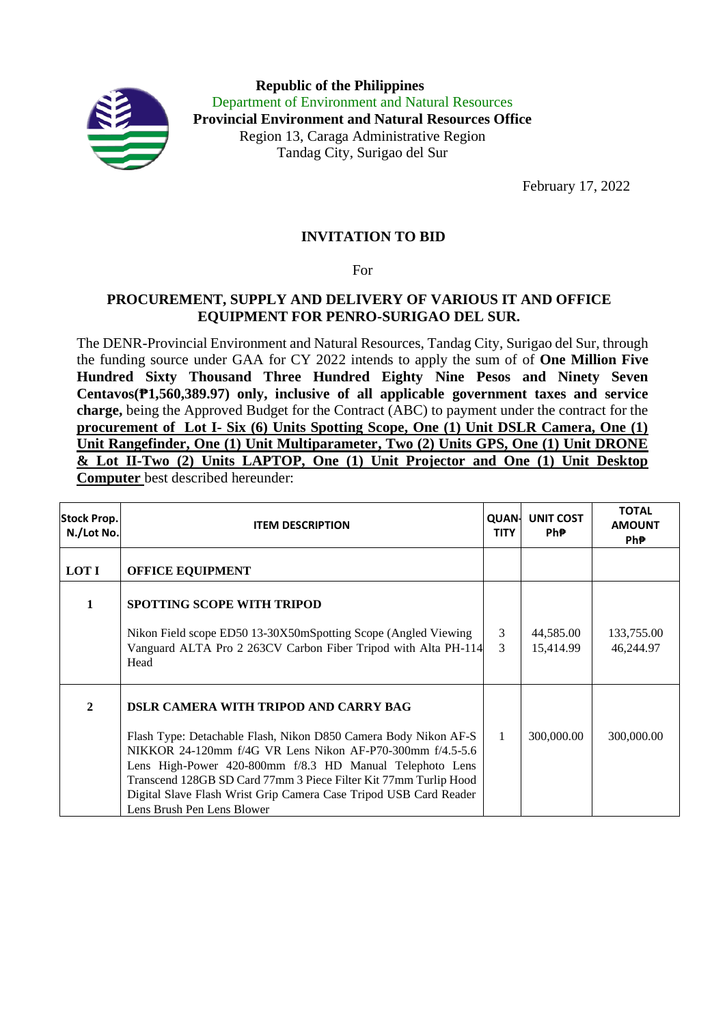

**Republic of the Philippines** Department of Environment and Natural Resources **Provincial Environment and Natural Resources Office** Region 13, Caraga Administrative Region Tandag City, Surigao del Sur

February 17, 2022

## **INVITATION TO BID**

For

## **PROCUREMENT, SUPPLY AND DELIVERY OF VARIOUS IT AND OFFICE EQUIPMENT FOR PENRO-SURIGAO DEL SUR.**

The DENR-Provincial Environment and Natural Resources, Tandag City, Surigao del Sur, through the funding source under GAA for CY 2022 intends to apply the sum of of **One Million Five Hundred Sixty Thousand Three Hundred Eighty Nine Pesos and Ninety Seven Centavos(₱1,560,389.97) only, inclusive of all applicable government taxes and service charge,** being the Approved Budget for the Contract (ABC) to payment under the contract for the **procurement of Lot I- Six (6) Units Spotting Scope, One (1) Unit DSLR Camera, One (1) Unit Rangefinder, One (1) Unit Multiparameter, Two (2) Units GPS, One (1) Unit DRONE & Lot II-Two (2) Units LAPTOP, One (1) Unit Projector and One (1) Unit Desktop Computer** best described hereunder:

| <b>Stock Prop.</b><br>N./Lot No. | <b>ITEM DESCRIPTION</b>                                                                                                                                                                                                                                                                                                                                                                                  | <b>QUAN-</b><br><b>TITY</b> | <b>UNIT COST</b><br>Ph₱. | <b>TOTAL</b><br><b>AMOUNT</b><br>Ph₱. |
|----------------------------------|----------------------------------------------------------------------------------------------------------------------------------------------------------------------------------------------------------------------------------------------------------------------------------------------------------------------------------------------------------------------------------------------------------|-----------------------------|--------------------------|---------------------------------------|
| <b>LOT I</b>                     | <b>OFFICE EQUIPMENT</b>                                                                                                                                                                                                                                                                                                                                                                                  |                             |                          |                                       |
| $\mathbf{1}$                     | <b>SPOTTING SCOPE WITH TRIPOD</b>                                                                                                                                                                                                                                                                                                                                                                        |                             |                          |                                       |
|                                  | Nikon Field scope ED50 13-30X50mSpotting Scope (Angled Viewing<br>Vanguard ALTA Pro 2 263CV Carbon Fiber Tripod with Alta PH-114<br>Head                                                                                                                                                                                                                                                                 | 3<br>$\mathcal{E}$          | 44,585.00<br>15,414.99   | 133,755.00<br>46,244.97               |
| $\mathbf{2}$                     | DSLR CAMERA WITH TRIPOD AND CARRY BAG<br>Flash Type: Detachable Flash, Nikon D850 Camera Body Nikon AF-S<br>NIKKOR 24-120mm f/4G VR Lens Nikon AF-P70-300mm f/4.5-5.6<br>Lens High-Power 420-800mm f/8.3 HD Manual Telephoto Lens<br>Transcend 128GB SD Card 77mm 3 Piece Filter Kit 77mm Turlip Hood<br>Digital Slave Flash Wrist Grip Camera Case Tripod USB Card Reader<br>Lens Brush Pen Lens Blower | $\mathbf{1}$                | 300,000.00               | 300,000.00                            |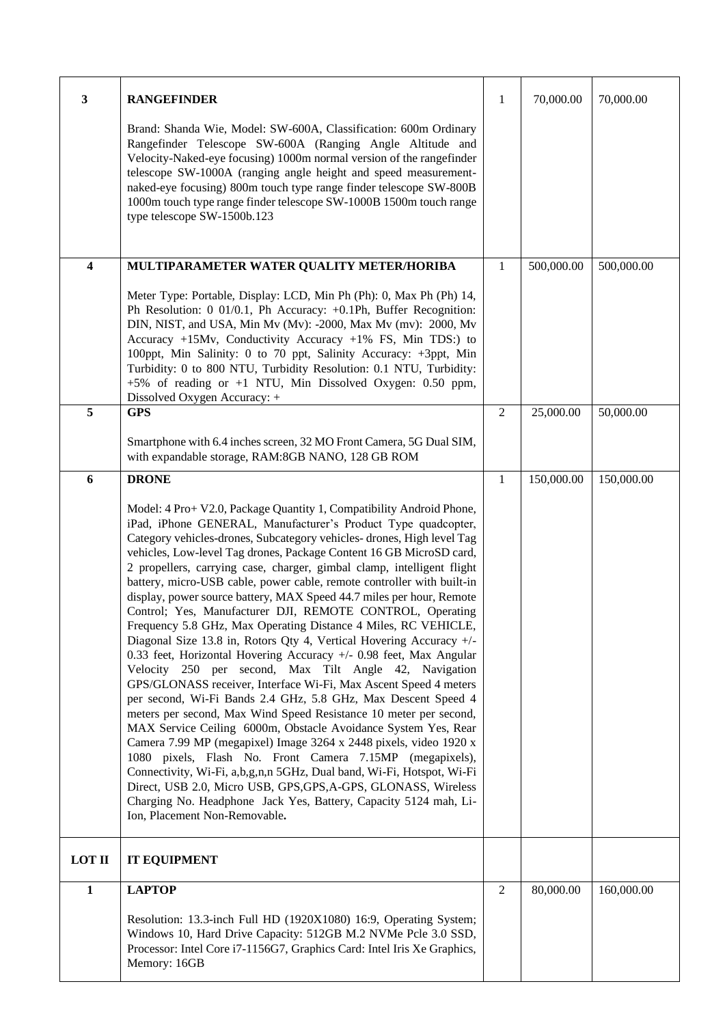| $\mathbf{3}$  | <b>RANGEFINDER</b>                                                                                                                                                                                                                                                                                                                                                                                                                                                                                                                                                                                                                                                                                                                                                                                                                                                                                                                                                                                                                                                                                                                                                                                                                                                                                                                                                                                                                                                                                                   | 1              | 70,000.00  | 70,000.00  |
|---------------|----------------------------------------------------------------------------------------------------------------------------------------------------------------------------------------------------------------------------------------------------------------------------------------------------------------------------------------------------------------------------------------------------------------------------------------------------------------------------------------------------------------------------------------------------------------------------------------------------------------------------------------------------------------------------------------------------------------------------------------------------------------------------------------------------------------------------------------------------------------------------------------------------------------------------------------------------------------------------------------------------------------------------------------------------------------------------------------------------------------------------------------------------------------------------------------------------------------------------------------------------------------------------------------------------------------------------------------------------------------------------------------------------------------------------------------------------------------------------------------------------------------------|----------------|------------|------------|
|               | Brand: Shanda Wie, Model: SW-600A, Classification: 600m Ordinary<br>Rangefinder Telescope SW-600A (Ranging Angle Altitude and<br>Velocity-Naked-eye focusing) 1000m normal version of the rangefinder<br>telescope SW-1000A (ranging angle height and speed measurement-<br>naked-eye focusing) 800m touch type range finder telescope SW-800B<br>1000m touch type range finder telescope SW-1000B 1500m touch range<br>type telescope SW-1500b.123                                                                                                                                                                                                                                                                                                                                                                                                                                                                                                                                                                                                                                                                                                                                                                                                                                                                                                                                                                                                                                                                  |                |            |            |
| 4             | MULTIPARAMETER WATER QUALITY METER/HORIBA                                                                                                                                                                                                                                                                                                                                                                                                                                                                                                                                                                                                                                                                                                                                                                                                                                                                                                                                                                                                                                                                                                                                                                                                                                                                                                                                                                                                                                                                            | 1              | 500,000.00 | 500,000.00 |
|               | Meter Type: Portable, Display: LCD, Min Ph (Ph): 0, Max Ph (Ph) 14,<br>Ph Resolution: 0 01/0.1, Ph Accuracy: +0.1Ph, Buffer Recognition:<br>DIN, NIST, and USA, Min Mv (Mv): -2000, Max Mv (mv): 2000, Mv<br>Accuracy +15Mv, Conductivity Accuracy +1% FS, Min TDS:) to<br>100ppt, Min Salinity: 0 to 70 ppt, Salinity Accuracy: +3ppt, Min<br>Turbidity: 0 to 800 NTU, Turbidity Resolution: 0.1 NTU, Turbidity:<br>$+5\%$ of reading or $+1$ NTU, Min Dissolved Oxygen: 0.50 ppm,<br>Dissolved Oxygen Accuracy: +                                                                                                                                                                                                                                                                                                                                                                                                                                                                                                                                                                                                                                                                                                                                                                                                                                                                                                                                                                                                  |                |            |            |
| 5             | <b>GPS</b>                                                                                                                                                                                                                                                                                                                                                                                                                                                                                                                                                                                                                                                                                                                                                                                                                                                                                                                                                                                                                                                                                                                                                                                                                                                                                                                                                                                                                                                                                                           | 2              | 25,000.00  | 50,000.00  |
|               | Smartphone with 6.4 inches screen, 32 MO Front Camera, 5G Dual SIM,<br>with expandable storage, RAM:8GB NANO, 128 GB ROM                                                                                                                                                                                                                                                                                                                                                                                                                                                                                                                                                                                                                                                                                                                                                                                                                                                                                                                                                                                                                                                                                                                                                                                                                                                                                                                                                                                             |                |            |            |
| 6             | <b>DRONE</b>                                                                                                                                                                                                                                                                                                                                                                                                                                                                                                                                                                                                                                                                                                                                                                                                                                                                                                                                                                                                                                                                                                                                                                                                                                                                                                                                                                                                                                                                                                         | 1              | 150,000.00 | 150,000.00 |
|               | Model: 4 Pro+ V2.0, Package Quantity 1, Compatibility Android Phone,<br>iPad, iPhone GENERAL, Manufacturer's Product Type quadcopter,<br>Category vehicles-drones, Subcategory vehicles-drones, High level Tag<br>vehicles, Low-level Tag drones, Package Content 16 GB MicroSD card,<br>2 propellers, carrying case, charger, gimbal clamp, intelligent flight<br>battery, micro-USB cable, power cable, remote controller with built-in<br>display, power source battery, MAX Speed 44.7 miles per hour, Remote<br>Control; Yes, Manufacturer DJI, REMOTE CONTROL, Operating<br>Frequency 5.8 GHz, Max Operating Distance 4 Miles, RC VEHICLE,<br>Diagonal Size 13.8 in, Rotors Qty 4, Vertical Hovering Accuracy +/-<br>0.33 feet, Horizontal Hovering Accuracy +/- 0.98 feet, Max Angular<br>Velocity 250 per second, Max Tilt Angle 42, Navigation<br>GPS/GLONASS receiver, Interface Wi-Fi, Max Ascent Speed 4 meters<br>per second, Wi-Fi Bands 2.4 GHz, 5.8 GHz, Max Descent Speed 4<br>meters per second, Max Wind Speed Resistance 10 meter per second,<br>MAX Service Ceiling 6000m, Obstacle Avoidance System Yes, Rear<br>Camera 7.99 MP (megapixel) Image 3264 x 2448 pixels, video 1920 x<br>1080 pixels, Flash No. Front Camera 7.15MP (megapixels),<br>Connectivity, Wi-Fi, a,b,g,n,n 5GHz, Dual band, Wi-Fi, Hotspot, Wi-Fi<br>Direct, USB 2.0, Micro USB, GPS, GPS, A-GPS, GLONASS, Wireless<br>Charging No. Headphone Jack Yes, Battery, Capacity 5124 mah, Li-<br>Ion, Placement Non-Removable. |                |            |            |
| <b>LOT II</b> | <b>IT EQUIPMENT</b>                                                                                                                                                                                                                                                                                                                                                                                                                                                                                                                                                                                                                                                                                                                                                                                                                                                                                                                                                                                                                                                                                                                                                                                                                                                                                                                                                                                                                                                                                                  |                |            |            |
| $\mathbf{1}$  | <b>LAPTOP</b>                                                                                                                                                                                                                                                                                                                                                                                                                                                                                                                                                                                                                                                                                                                                                                                                                                                                                                                                                                                                                                                                                                                                                                                                                                                                                                                                                                                                                                                                                                        | $\overline{2}$ | 80,000.00  | 160,000.00 |
|               | Resolution: 13.3-inch Full HD (1920X1080) 16:9, Operating System;<br>Windows 10, Hard Drive Capacity: 512GB M.2 NVMe Pcle 3.0 SSD,<br>Processor: Intel Core i7-1156G7, Graphics Card: Intel Iris Xe Graphics,<br>Memory: 16GB                                                                                                                                                                                                                                                                                                                                                                                                                                                                                                                                                                                                                                                                                                                                                                                                                                                                                                                                                                                                                                                                                                                                                                                                                                                                                        |                |            |            |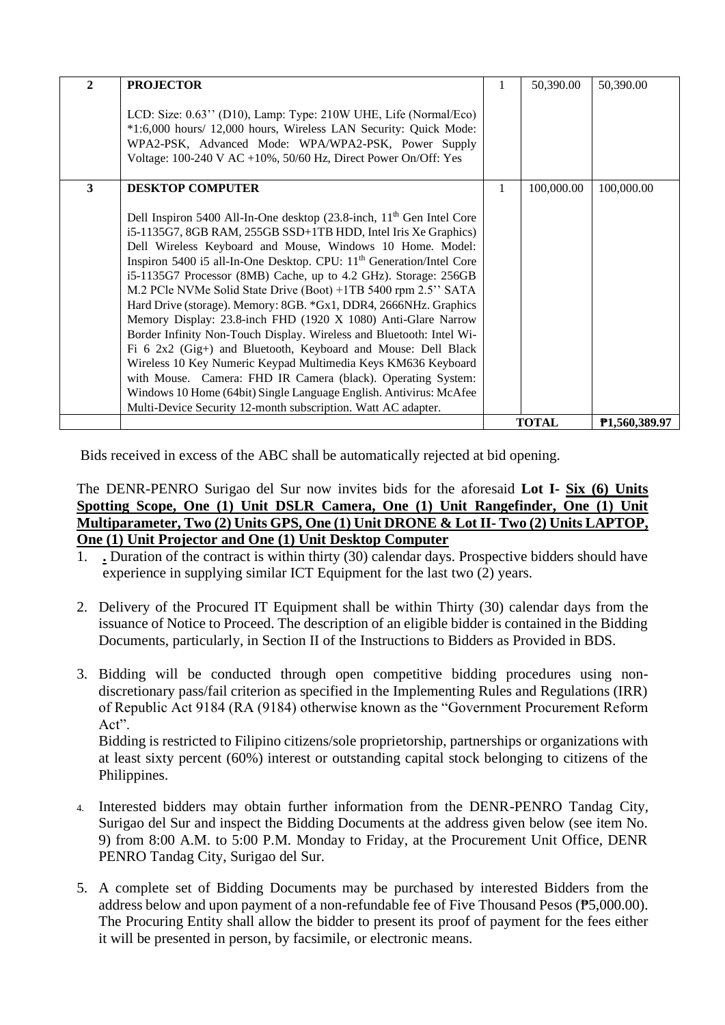| $\mathbf{2}$ | <b>PROJECTOR</b>                                                                                                                                                                                                                                                                                                                                                                                                                                                                                                                                                                                                                                                                                                                                                                                                                                                                                                                                                                                |   | 50,390.00    | 50,390.00     |
|--------------|-------------------------------------------------------------------------------------------------------------------------------------------------------------------------------------------------------------------------------------------------------------------------------------------------------------------------------------------------------------------------------------------------------------------------------------------------------------------------------------------------------------------------------------------------------------------------------------------------------------------------------------------------------------------------------------------------------------------------------------------------------------------------------------------------------------------------------------------------------------------------------------------------------------------------------------------------------------------------------------------------|---|--------------|---------------|
|              | LCD: Size: 0.63" (D10), Lamp: Type: 210W UHE, Life (Normal/Eco)<br>*1:6,000 hours/ 12,000 hours, Wireless LAN Security: Quick Mode:<br>WPA2-PSK, Advanced Mode: WPA/WPA2-PSK, Power Supply<br>Voltage: $100-240$ V AC $+10\%$ , $50/60$ Hz, Direct Power On/Off: Yes                                                                                                                                                                                                                                                                                                                                                                                                                                                                                                                                                                                                                                                                                                                            |   |              |               |
| 3            | <b>DESKTOP COMPUTER</b>                                                                                                                                                                                                                                                                                                                                                                                                                                                                                                                                                                                                                                                                                                                                                                                                                                                                                                                                                                         | 1 | 100,000.00   | 100,000.00    |
|              | Dell Inspiron 5400 All-In-One desktop (23.8-inch, 11 <sup>th</sup> Gen Intel Core<br>i5-1135G7, 8GB RAM, 255GB SSD+1TB HDD, Intel Iris Xe Graphics)<br>Dell Wireless Keyboard and Mouse, Windows 10 Home. Model:<br>Inspiron 5400 i5 all-In-One Desktop. CPU: 11 <sup>th</sup> Generation/Intel Core<br>i5-1135G7 Processor (8MB) Cache, up to 4.2 GHz). Storage: 256GB<br>M.2 PCle NVMe Solid State Drive (Boot) +1TB 5400 rpm 2.5" SATA<br>Hard Drive (storage). Memory: 8GB. *Gx1, DDR4, 2666NHz. Graphics<br>Memory Display: 23.8-inch FHD (1920 X 1080) Anti-Glare Narrow<br>Border Infinity Non-Touch Display. Wireless and Bluetooth: Intel Wi-<br>Fi 6 2x2 (Gig+) and Bluetooth, Keyboard and Mouse: Dell Black<br>Wireless 10 Key Numeric Keypad Multimedia Keys KM636 Keyboard<br>with Mouse. Camera: FHD IR Camera (black). Operating System:<br>Windows 10 Home (64bit) Single Language English. Antivirus: McAfee<br>Multi-Device Security 12-month subscription. Watt AC adapter. |   |              |               |
|              |                                                                                                                                                                                                                                                                                                                                                                                                                                                                                                                                                                                                                                                                                                                                                                                                                                                                                                                                                                                                 |   | <b>TOTAL</b> | P1,560,389.97 |

Bids received in excess of the ABC shall be automatically rejected at bid opening.

## The DENR-PENRO Surigao del Sur now invites bids for the aforesaid **Lot I- Six (6) Units Spotting Scope, One (1) Unit DSLR Camera, One (1) Unit Rangefinder, One (1) Unit Multiparameter, Two (2) Units GPS, One (1) Unit DRONE & Lot II- Two (2) Units LAPTOP, One (1) Unit Projector and One (1) Unit Desktop Computer**

- 1. **.** Duration of the contract is within thirty (30) calendar days. Prospective bidders should have experience in supplying similar ICT Equipment for the last two (2) years.
- 2. Delivery of the Procured IT Equipment shall be within Thirty (30) calendar days from the issuance of Notice to Proceed. The description of an eligible bidder is contained in the Bidding Documents, particularly, in Section II of the Instructions to Bidders as Provided in BDS.
- 3. Bidding will be conducted through open competitive bidding procedures using nondiscretionary pass/fail criterion as specified in the Implementing Rules and Regulations (IRR) of Republic Act 9184 (RA (9184) otherwise known as the "Government Procurement Reform Act".

Bidding is restricted to Filipino citizens/sole proprietorship, partnerships or organizations with at least sixty percent (60%) interest or outstanding capital stock belonging to citizens of the Philippines.

- 4. Interested bidders may obtain further information from the DENR-PENRO Tandag City, Surigao del Sur and inspect the Bidding Documents at the address given below (see item No. 9) from 8:00 A.M. to 5:00 P.M. Monday to Friday, at the Procurement Unit Office, DENR PENRO Tandag City, Surigao del Sur.
- 5. A complete set of Bidding Documents may be purchased by interested Bidders from the address below and upon payment of a non-refundable fee of Five Thousand Pesos (₱5,000.00). The Procuring Entity shall allow the bidder to present its proof of payment for the fees either it will be presented in person, by facsimile, or electronic means.